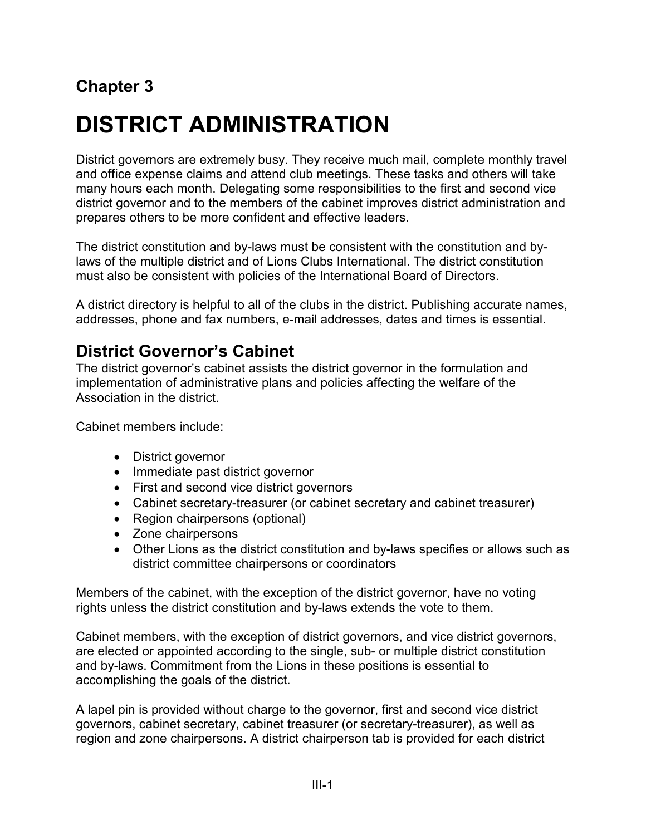# **Chapter 3**

# **DISTRICT ADMINISTRATION**

District governors are extremely busy. They receive much mail, complete monthly travel and office expense claims and attend club meetings. These tasks and others will take many hours each month. Delegating some responsibilities to the first and second vice district governor and to the members of the cabinet improves district administration and prepares others to be more confident and effective leaders.

The district constitution and by-laws must be consistent with the constitution and bylaws of the multiple district and of Lions Clubs International. The district constitution must also be consistent with policies of the International Board of Directors.

A district directory is helpful to all of the clubs in the district. Publishing accurate names, addresses, phone and fax numbers, e-mail addresses, dates and times is essential.

## **District Governor's Cabinet**

The district governor's cabinet assists the district governor in the formulation and implementation of administrative plans and policies affecting the welfare of the Association in the district.

Cabinet members include:

- District governor
- Immediate past district governor
- First and second vice district governors
- Cabinet secretary-treasurer (or cabinet secretary and cabinet treasurer)
- Region chairpersons (optional)
- Zone chairpersons
- Other Lions as the district constitution and by-laws specifies or allows such as district committee chairpersons or coordinators

Members of the cabinet, with the exception of the district governor, have no voting rights unless the district constitution and by-laws extends the vote to them.

Cabinet members, with the exception of district governors, and vice district governors, are elected or appointed according to the single, sub- or multiple district constitution and by-laws. Commitment from the Lions in these positions is essential to accomplishing the goals of the district.

A lapel pin is provided without charge to the governor, first and second vice district governors, cabinet secretary, cabinet treasurer (or secretary-treasurer), as well as region and zone chairpersons. A district chairperson tab is provided for each district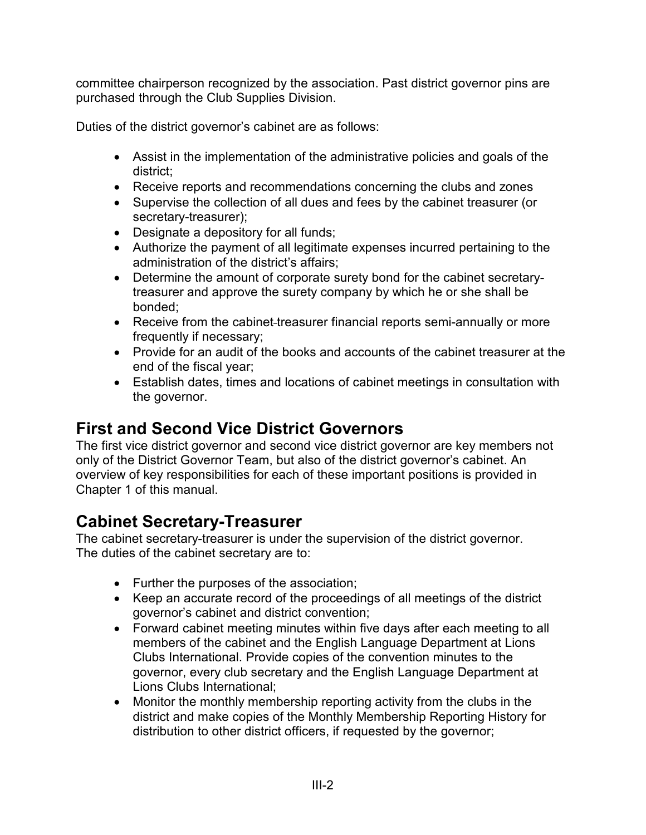committee chairperson recognized by the association. Past district governor pins are purchased through the Club Supplies Division.

Duties of the district governor's cabinet are as follows:

- Assist in the implementation of the administrative policies and goals of the district;
- Receive reports and recommendations concerning the clubs and zones
- Supervise the collection of all dues and fees by the cabinet treasurer (or secretary-treasurer);
- Designate a depository for all funds;
- Authorize the payment of all legitimate expenses incurred pertaining to the administration of the district's affairs;
- Determine the amount of corporate surety bond for the cabinet secretarytreasurer and approve the surety company by which he or she shall be bonded;
- Receive from the cabinet-treasurer financial reports semi-annually or more frequently if necessary;
- Provide for an audit of the books and accounts of the cabinet treasurer at the end of the fiscal year;
- Establish dates, times and locations of cabinet meetings in consultation with the governor.

# **First and Second Vice District Governors**

The first vice district governor and second vice district governor are key members not only of the District Governor Team, but also of the district governor's cabinet. An overview of key responsibilities for each of these important positions is provided in Chapter 1 of this manual.

# **Cabinet Secretary-Treasurer**

The cabinet secretary-treasurer is under the supervision of the district governor. The duties of the cabinet secretary are to:

- Further the purposes of the association;
- Keep an accurate record of the proceedings of all meetings of the district governor's cabinet and district convention;
- Forward cabinet meeting minutes within five days after each meeting to all members of the cabinet and the English Language Department at Lions Clubs International. Provide copies of the convention minutes to the governor, every club secretary and the English Language Department at Lions Clubs International;
- Monitor the monthly membership reporting activity from the clubs in the district and make copies of the Monthly Membership Reporting History for distribution to other district officers, if requested by the governor;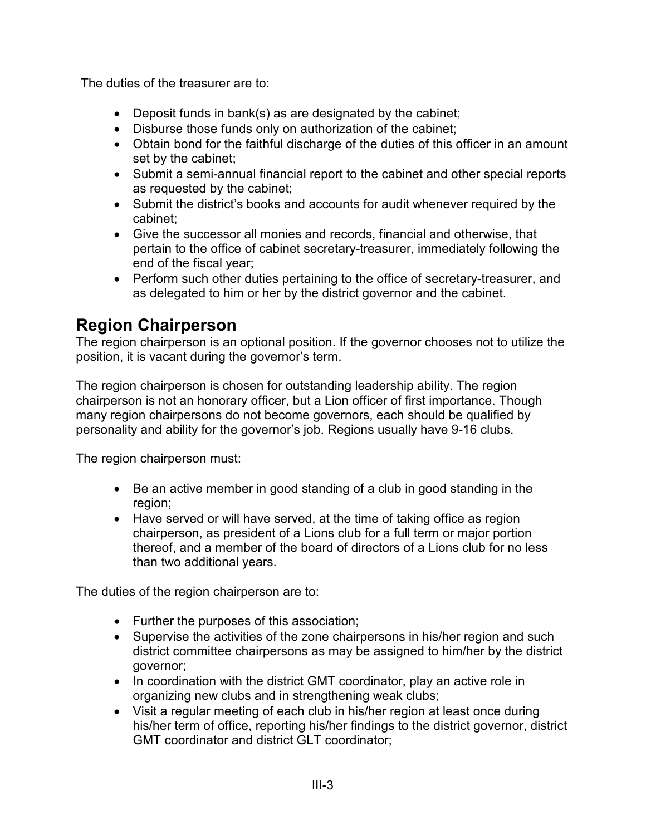The duties of the treasurer are to:

- Deposit funds in bank(s) as are designated by the cabinet;
- Disburse those funds only on authorization of the cabinet;
- Obtain bond for the faithful discharge of the duties of this officer in an amount set by the cabinet;
- Submit a semi-annual financial report to the cabinet and other special reports as requested by the cabinet;
- Submit the district's books and accounts for audit whenever required by the cabinet;
- Give the successor all monies and records, financial and otherwise, that pertain to the office of cabinet secretary-treasurer, immediately following the end of the fiscal year;
- Perform such other duties pertaining to the office of secretary-treasurer, and as delegated to him or her by the district governor and the cabinet.

# **Region Chairperson**

The region chairperson is an optional position. If the governor chooses not to utilize the position, it is vacant during the governor's term.

The region chairperson is chosen for outstanding leadership ability. The region chairperson is not an honorary officer, but a Lion officer of first importance. Though many region chairpersons do not become governors, each should be qualified by personality and ability for the governor's job. Regions usually have 9-16 clubs.

The region chairperson must:

- Be an active member in good standing of a club in good standing in the region;
- Have served or will have served, at the time of taking office as region chairperson, as president of a Lions club for a full term or major portion thereof, and a member of the board of directors of a Lions club for no less than two additional years.

The duties of the region chairperson are to:

- Further the purposes of this association;
- Supervise the activities of the zone chairpersons in his/her region and such district committee chairpersons as may be assigned to him/her by the district governor;
- In coordination with the district GMT coordinator, play an active role in organizing new clubs and in strengthening weak clubs;
- Visit a regular meeting of each club in his/her region at least once during his/her term of office, reporting his/her findings to the district governor, district GMT coordinator and district GLT coordinator;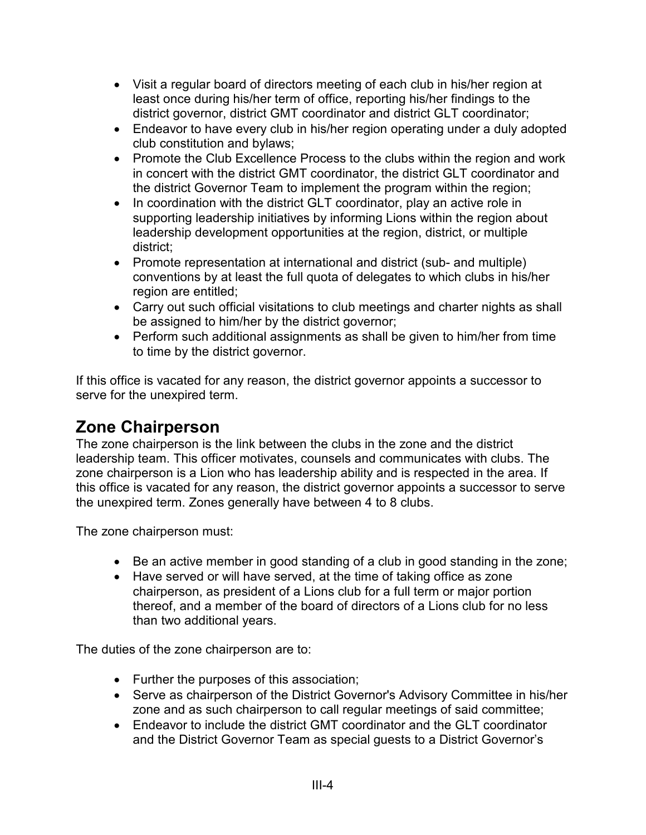- Visit a regular board of directors meeting of each club in his/her region at least once during his/her term of office, reporting his/her findings to the district governor, district GMT coordinator and district GLT coordinator;
- Endeavor to have every club in his/her region operating under a duly adopted club constitution and bylaws;
- Promote the Club Excellence Process to the clubs within the region and work in concert with the district GMT coordinator, the district GLT coordinator and the district Governor Team to implement the program within the region;
- In coordination with the district GLT coordinator, play an active role in supporting leadership initiatives by informing Lions within the region about leadership development opportunities at the region, district, or multiple district;
- Promote representation at international and district (sub- and multiple) conventions by at least the full quota of delegates to which clubs in his/her region are entitled;
- Carry out such official visitations to club meetings and charter nights as shall be assigned to him/her by the district governor;
- Perform such additional assignments as shall be given to him/her from time to time by the district governor.

If this office is vacated for any reason, the district governor appoints a successor to serve for the unexpired term.

## **Zone Chairperson**

The zone chairperson is the link between the clubs in the zone and the district leadership team. This officer motivates, counsels and communicates with clubs. The zone chairperson is a Lion who has leadership ability and is respected in the area. If this office is vacated for any reason, the district governor appoints a successor to serve the unexpired term. Zones generally have between 4 to 8 clubs.

The zone chairperson must:

- Be an active member in good standing of a club in good standing in the zone;
- Have served or will have served, at the time of taking office as zone chairperson, as president of a Lions club for a full term or major portion thereof, and a member of the board of directors of a Lions club for no less than two additional years.

The duties of the zone chairperson are to:

- Further the purposes of this association;
- Serve as chairperson of the District Governor's Advisory Committee in his/her zone and as such chairperson to call regular meetings of said committee;
- Endeavor to include the district GMT coordinator and the GLT coordinator and the District Governor Team as special guests to a District Governor's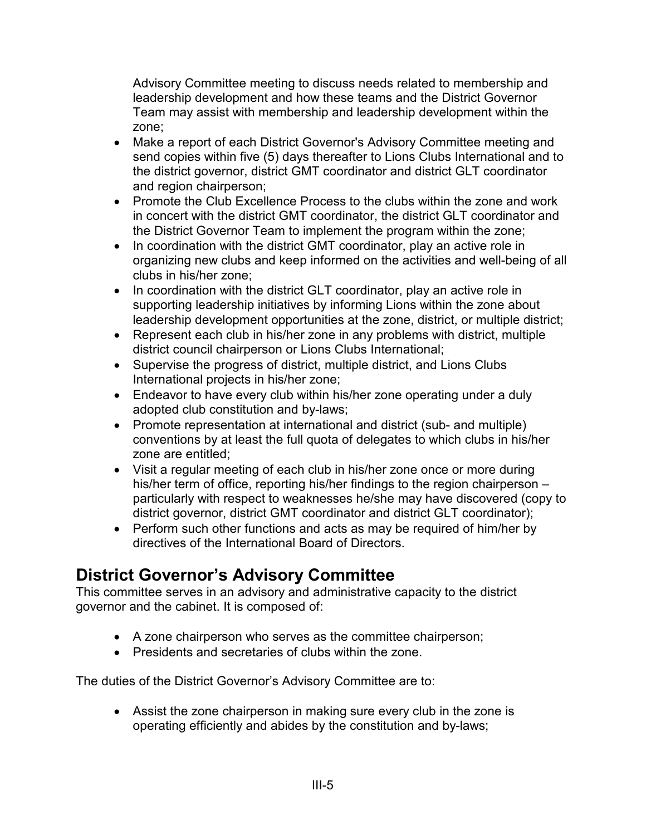Advisory Committee meeting to discuss needs related to membership and leadership development and how these teams and the District Governor Team may assist with membership and leadership development within the zone;

- Make a report of each District Governor's Advisory Committee meeting and send copies within five (5) days thereafter to Lions Clubs International and to the district governor, district GMT coordinator and district GLT coordinator and region chairperson;
- Promote the Club Excellence Process to the clubs within the zone and work in concert with the district GMT coordinator, the district GLT coordinator and the District Governor Team to implement the program within the zone;
- In coordination with the district GMT coordinator, play an active role in organizing new clubs and keep informed on the activities and well-being of all clubs in his/her zone;
- In coordination with the district GLT coordinator, play an active role in supporting leadership initiatives by informing Lions within the zone about leadership development opportunities at the zone, district, or multiple district;
- Represent each club in his/her zone in any problems with district, multiple district council chairperson or Lions Clubs International;
- Supervise the progress of district, multiple district, and Lions Clubs International projects in his/her zone;
- Endeavor to have every club within his/her zone operating under a duly adopted club constitution and by-laws;
- Promote representation at international and district (sub- and multiple) conventions by at least the full quota of delegates to which clubs in his/her zone are entitled;
- Visit a regular meeting of each club in his/her zone once or more during his/her term of office, reporting his/her findings to the region chairperson – particularly with respect to weaknesses he/she may have discovered (copy to district governor, district GMT coordinator and district GLT coordinator);
- Perform such other functions and acts as may be required of him/her by directives of the International Board of Directors.

# **District Governor's Advisory Committee**

This committee serves in an advisory and administrative capacity to the district governor and the cabinet. It is composed of:

- A zone chairperson who serves as the committee chairperson;
- Presidents and secretaries of clubs within the zone.

The duties of the District Governor's Advisory Committee are to:

• Assist the zone chairperson in making sure every club in the zone is operating efficiently and abides by the constitution and by-laws;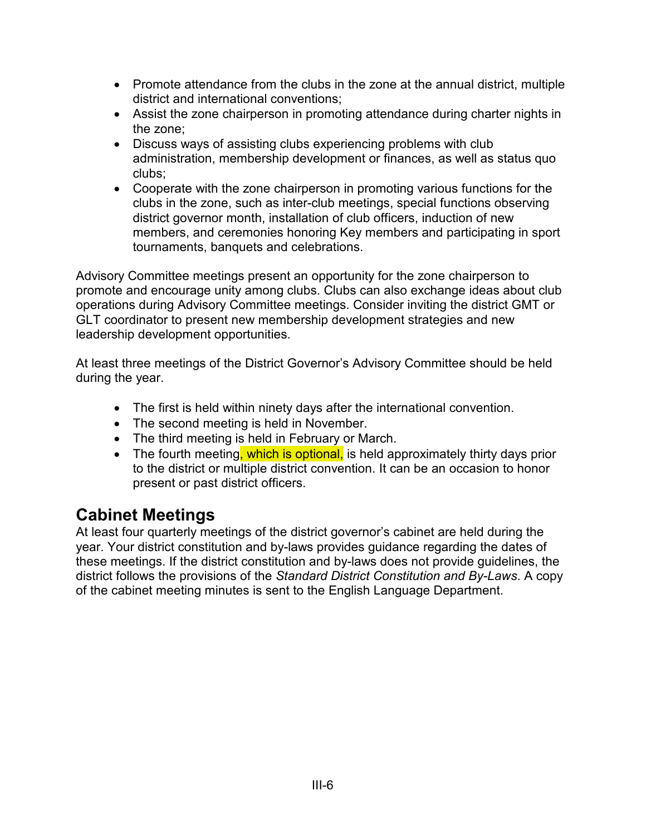- Promote attendance from the clubs in the zone at the annual district, multiple district and international conventions;
- Assist the zone chairperson in promoting attendance during charter nights in the zone;
- Discuss ways of assisting clubs experiencing problems with club administration, membership development or finances, as well as status quo clubs;
- Cooperate with the zone chairperson in promoting various functions for the clubs in the zone, such as inter-club meetings, special functions observing district governor month, installation of club officers, induction of new members, and ceremonies honoring Key members and participating in sport tournaments, banquets and celebrations.

Advisory Committee meetings present an opportunity for the zone chairperson to promote and encourage unity among clubs. Clubs can also exchange ideas about club operations during Advisory Committee meetings. Consider inviting the district GMT or GLT coordinator to present new membership development strategies and new leadership development opportunities.

At least three meetings of the District Governor's Advisory Committee should be held during the year.

- The first is held within ninety days after the international convention.
- The second meeting is held in November.
- The third meeting is held in February or March.
- The fourth meeting, which is optional, is held approximately thirty days prior to the district or multiple district convention. It can be an occasion to honor present or past district officers.

## **Cabinet Meetings**

At least four quarterly meetings of the district governor's cabinet are held during the year. Your district constitution and by-laws provides guidance regarding the dates of these meetings. If the district constitution and by-laws does not provide guidelines, the district follows the provisions of the *Standard District Constitution and By-Laws*. A copy of the cabinet meeting minutes is sent to the English Language Department.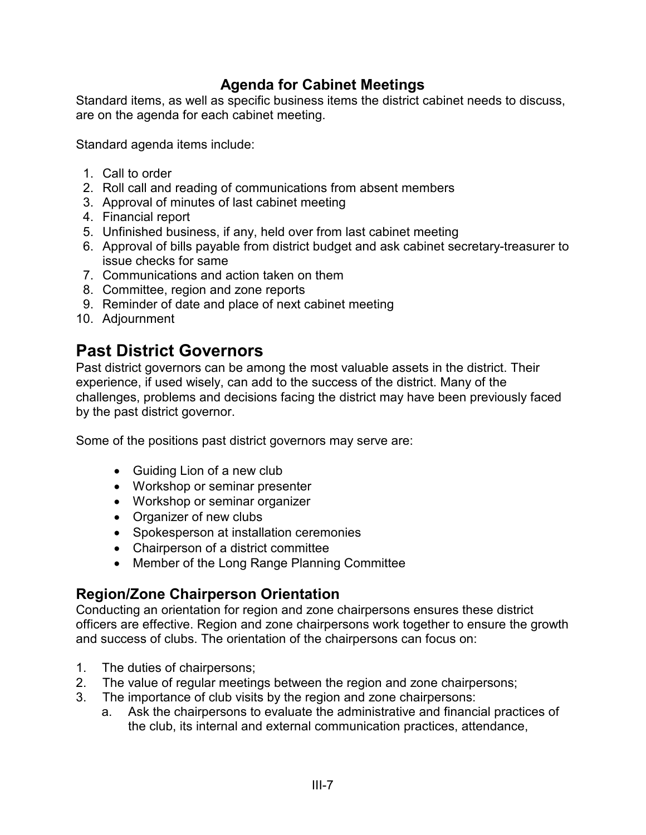#### **Agenda for Cabinet Meetings**

Standard items, as well as specific business items the district cabinet needs to discuss, are on the agenda for each cabinet meeting.

Standard agenda items include:

- 1. Call to order
- 2. Roll call and reading of communications from absent members
- 3. Approval of minutes of last cabinet meeting
- 4. Financial report
- 5. Unfinished business, if any, held over from last cabinet meeting
- 6. Approval of bills payable from district budget and ask cabinet secretary-treasurer to issue checks for same
- 7. Communications and action taken on them
- 8. Committee, region and zone reports
- 9. Reminder of date and place of next cabinet meeting
- 10. Adjournment

## **Past District Governors**

Past district governors can be among the most valuable assets in the district. Their experience, if used wisely, can add to the success of the district. Many of the challenges, problems and decisions facing the district may have been previously faced by the past district governor.

Some of the positions past district governors may serve are:

- Guiding Lion of a new club
- Workshop or seminar presenter
- Workshop or seminar organizer
- Organizer of new clubs
- Spokesperson at installation ceremonies
- Chairperson of a district committee
- Member of the Long Range Planning Committee

#### **Region/Zone Chairperson Orientation**

Conducting an orientation for region and zone chairpersons ensures these district officers are effective. Region and zone chairpersons work together to ensure the growth and success of clubs. The orientation of the chairpersons can focus on:

- 1. The duties of chairpersons;
- 2. The value of regular meetings between the region and zone chairpersons;
- 3. The importance of club visits by the region and zone chairpersons:
	- a. Ask the chairpersons to evaluate the administrative and financial practices of the club, its internal and external communication practices, attendance,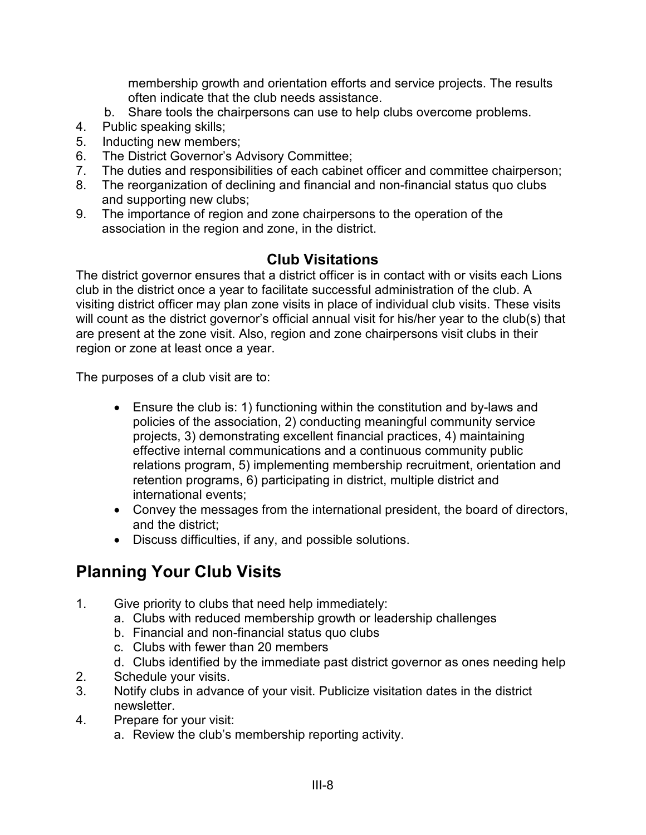membership growth and orientation efforts and service projects. The results often indicate that the club needs assistance.

- b. Share tools the chairpersons can use to help clubs overcome problems.
- 4. Public speaking skills;
- 5. Inducting new members;
- 6. The District Governor's Advisory Committee;
- 7. The duties and responsibilities of each cabinet officer and committee chairperson;
- 8. The reorganization of declining and financial and non-financial status quo clubs and supporting new clubs;
- 9. The importance of region and zone chairpersons to the operation of the association in the region and zone, in the district.

#### **Club Visitations**

The district governor ensures that a district officer is in contact with or visits each Lions club in the district once a year to facilitate successful administration of the club. A visiting district officer may plan zone visits in place of individual club visits. These visits will count as the district governor's official annual visit for his/her year to the club(s) that are present at the zone visit. Also, region and zone chairpersons visit clubs in their region or zone at least once a year.

The purposes of a club visit are to:

- Ensure the club is: 1) functioning within the constitution and by-laws and policies of the association, 2) conducting meaningful community service projects, 3) demonstrating excellent financial practices, 4) maintaining effective internal communications and a continuous community public relations program, 5) implementing membership recruitment, orientation and retention programs, 6) participating in district, multiple district and international events;
- Convey the messages from the international president, the board of directors, and the district;
- Discuss difficulties, if any, and possible solutions.

# **Planning Your Club Visits**

- 1. Give priority to clubs that need help immediately:
	- a. Clubs with reduced membership growth or leadership challenges
	- b. Financial and non-financial status quo clubs
	- c. Clubs with fewer than 20 members
	- d. Clubs identified by the immediate past district governor as ones needing help
- 2. Schedule your visits.
- 3. Notify clubs in advance of your visit. Publicize visitation dates in the district newsletter.
- 4. Prepare for your visit:
	- a. Review the club's membership reporting activity.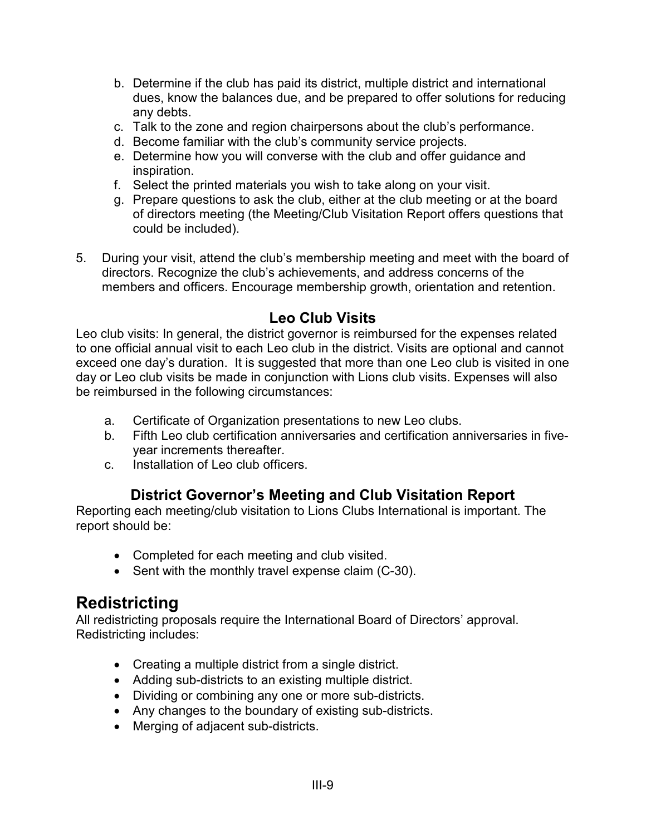- b. Determine if the club has paid its district, multiple district and international dues, know the balances due, and be prepared to offer solutions for reducing any debts.
- c. Talk to the zone and region chairpersons about the club's performance.
- d. Become familiar with the club's community service projects.
- e. Determine how you will converse with the club and offer guidance and inspiration.
- f. Select the printed materials you wish to take along on your visit.
- g. Prepare questions to ask the club, either at the club meeting or at the board of directors meeting (the Meeting/Club Visitation Report offers questions that could be included).
- 5. During your visit, attend the club's membership meeting and meet with the board of directors. Recognize the club's achievements, and address concerns of the members and officers. Encourage membership growth, orientation and retention.

#### **Leo Club Visits**

Leo club visits: In general, the district governor is reimbursed for the expenses related to one official annual visit to each Leo club in the district. Visits are optional and cannot exceed one day's duration. It is suggested that more than one Leo club is visited in one day or Leo club visits be made in conjunction with Lions club visits. Expenses will also be reimbursed in the following circumstances:

- a. Certificate of Organization presentations to new Leo clubs.
- b. Fifth Leo club certification anniversaries and certification anniversaries in fiveyear increments thereafter.
- c. Installation of Leo club officers.

## **District Governor's Meeting and Club Visitation Report**

Reporting each meeting/club visitation to Lions Clubs International is important. The report should be:

- Completed for each meeting and club visited.
- Sent with the monthly travel expense claim (C-30).

## **Redistricting**

All redistricting proposals require the International Board of Directors' approval. Redistricting includes:

- Creating a multiple district from a single district.
- Adding sub-districts to an existing multiple district.
- Dividing or combining any one or more sub-districts.
- Any changes to the boundary of existing sub-districts.
- Merging of adjacent sub-districts.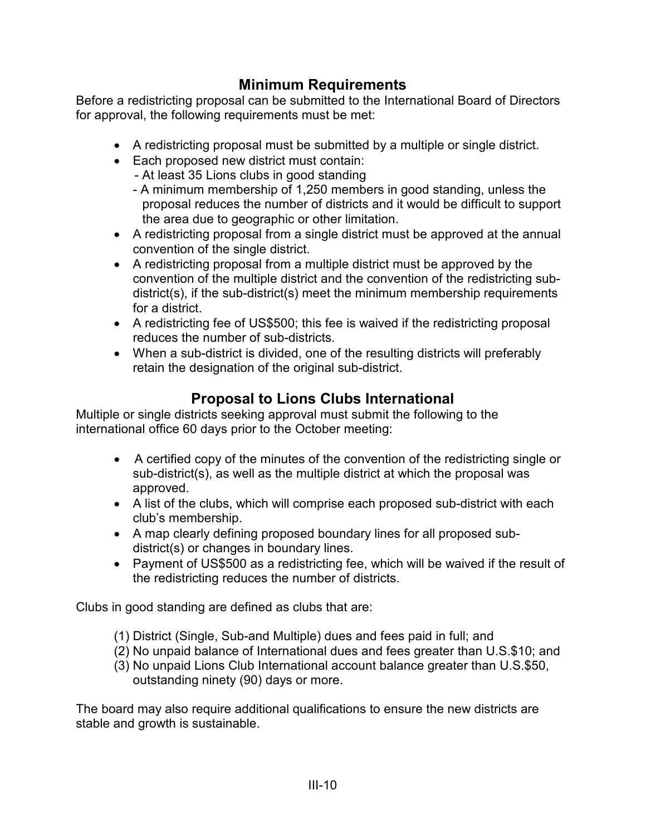## **Minimum Requirements**

Before a redistricting proposal can be submitted to the International Board of Directors for approval, the following requirements must be met:

- A redistricting proposal must be submitted by a multiple or single district.
- Each proposed new district must contain:
	- At least 35 Lions clubs in good standing
	- A minimum membership of 1,250 members in good standing, unless the proposal reduces the number of districts and it would be difficult to support the area due to geographic or other limitation.
- A redistricting proposal from a single district must be approved at the annual convention of the single district.
- A redistricting proposal from a multiple district must be approved by the convention of the multiple district and the convention of the redistricting subdistrict(s), if the sub-district(s) meet the minimum membership requirements for a district.
- A redistricting fee of US\$500; this fee is waived if the redistricting proposal reduces the number of sub-districts.
- When a sub-district is divided, one of the resulting districts will preferably retain the designation of the original sub-district.

## **Proposal to Lions Clubs International**

Multiple or single districts seeking approval must submit the following to the international office 60 days prior to the October meeting:

- A certified copy of the minutes of the convention of the redistricting single or sub-district(s), as well as the multiple district at which the proposal was approved.
- A list of the clubs, which will comprise each proposed sub-district with each club's membership.
- A map clearly defining proposed boundary lines for all proposed subdistrict(s) or changes in boundary lines.
- Payment of US\$500 as a redistricting fee, which will be waived if the result of the redistricting reduces the number of districts.

Clubs in good standing are defined as clubs that are:

- (1) District (Single, Sub-and Multiple) dues and fees paid in full; and
- (2) No unpaid balance of International dues and fees greater than U.S.\$10; and
- (3) No unpaid Lions Club International account balance greater than U.S.\$50, outstanding ninety (90) days or more.

The board may also require additional qualifications to ensure the new districts are stable and growth is sustainable.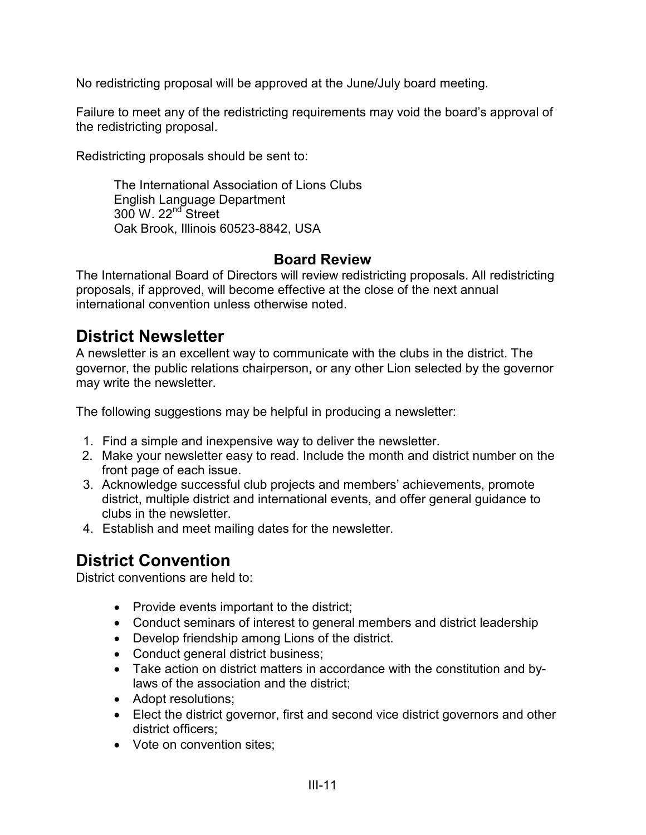No redistricting proposal will be approved at the June/July board meeting.

Failure to meet any of the redistricting requirements may void the board's approval of the redistricting proposal.

Redistricting proposals should be sent to:

The International Association of Lions Clubs English Language Department  $300 \text{ W}$ .  $22^{\text{nd}}$  Street Oak Brook, Illinois 60523-8842, USA

#### **Board Review**

The International Board of Directors will review redistricting proposals. All redistricting proposals, if approved, will become effective at the close of the next annual international convention unless otherwise noted.

## **District Newsletter**

A newsletter is an excellent way to communicate with the clubs in the district. The governor, the public relations chairperson**,** or any other Lion selected by the governor may write the newsletter.

The following suggestions may be helpful in producing a newsletter:

- 1. Find a simple and inexpensive way to deliver the newsletter.
- 2. Make your newsletter easy to read. Include the month and district number on the front page of each issue.
- 3. Acknowledge successful club projects and members' achievements, promote district, multiple district and international events, and offer general guidance to clubs in the newsletter.
- 4. Establish and meet mailing dates for the newsletter.

# **District Convention**

District conventions are held to:

- Provide events important to the district;
- Conduct seminars of interest to general members and district leadership
- Develop friendship among Lions of the district.
- Conduct general district business;
- Take action on district matters in accordance with the constitution and bylaws of the association and the district;
- Adopt resolutions;
- Elect the district governor, first and second vice district governors and other district officers;
- Vote on convention sites: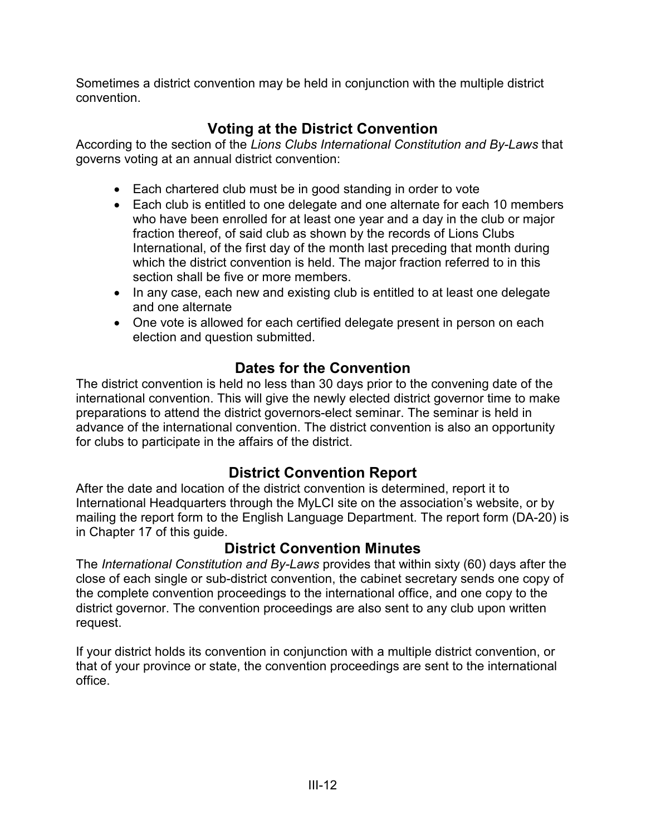Sometimes a district convention may be held in conjunction with the multiple district convention.

## **Voting at the District Convention**

According to the section of the *Lions Clubs International Constitution and By-Laws* that governs voting at an annual district convention:

- Each chartered club must be in good standing in order to vote
- Each club is entitled to one delegate and one alternate for each 10 members who have been enrolled for at least one year and a day in the club or major fraction thereof, of said club as shown by the records of Lions Clubs International, of the first day of the month last preceding that month during which the district convention is held. The major fraction referred to in this section shall be five or more members.
- In any case, each new and existing club is entitled to at least one delegate and one alternate
- One vote is allowed for each certified delegate present in person on each election and question submitted.

#### **Dates for the Convention**

The district convention is held no less than 30 days prior to the convening date of the international convention. This will give the newly elected district governor time to make preparations to attend the district governors-elect seminar. The seminar is held in advance of the international convention. The district convention is also an opportunity for clubs to participate in the affairs of the district.

## **District Convention Report**

After the date and location of the district convention is determined, report it to International Headquarters through the MyLCI site on the association's website, or by mailing the report form to the English Language Department. The report form (DA-20) is in Chapter 17 of this guide.

#### **District Convention Minutes**

The *International Constitution and By-Laws* provides that within sixty (60) days after the close of each single or sub-district convention, the cabinet secretary sends one copy of the complete convention proceedings to the international office, and one copy to the district governor. The convention proceedings are also sent to any club upon written request.

If your district holds its convention in conjunction with a multiple district convention, or that of your province or state, the convention proceedings are sent to the international office.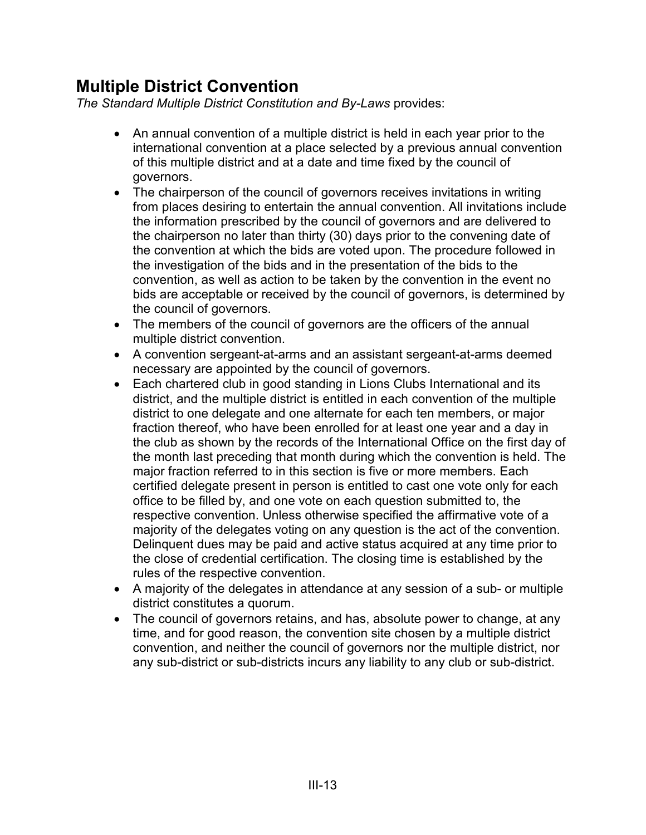# **Multiple District Convention**

*The Standard Multiple District Constitution and By-Laws* provides:

- An annual convention of a multiple district is held in each year prior to the international convention at a place selected by a previous annual convention of this multiple district and at a date and time fixed by the council of governors.
- The chairperson of the council of governors receives invitations in writing from places desiring to entertain the annual convention. All invitations include the information prescribed by the council of governors and are delivered to the chairperson no later than thirty (30) days prior to the convening date of the convention at which the bids are voted upon. The procedure followed in the investigation of the bids and in the presentation of the bids to the convention, as well as action to be taken by the convention in the event no bids are acceptable or received by the council of governors, is determined by the council of governors.
- The members of the council of governors are the officers of the annual multiple district convention.
- A convention sergeant-at-arms and an assistant sergeant-at-arms deemed necessary are appointed by the council of governors.
- Each chartered club in good standing in Lions Clubs International and its district, and the multiple district is entitled in each convention of the multiple district to one delegate and one alternate for each ten members, or major fraction thereof, who have been enrolled for at least one year and a day in the club as shown by the records of the International Office on the first day of the month last preceding that month during which the convention is held. The major fraction referred to in this section is five or more members. Each certified delegate present in person is entitled to cast one vote only for each office to be filled by, and one vote on each question submitted to, the respective convention. Unless otherwise specified the affirmative vote of a majority of the delegates voting on any question is the act of the convention. Delinquent dues may be paid and active status acquired at any time prior to the close of credential certification. The closing time is established by the rules of the respective convention.
- A majority of the delegates in attendance at any session of a sub- or multiple district constitutes a quorum.
- The council of governors retains, and has, absolute power to change, at any time, and for good reason, the convention site chosen by a multiple district convention, and neither the council of governors nor the multiple district, nor any sub-district or sub-districts incurs any liability to any club or sub-district.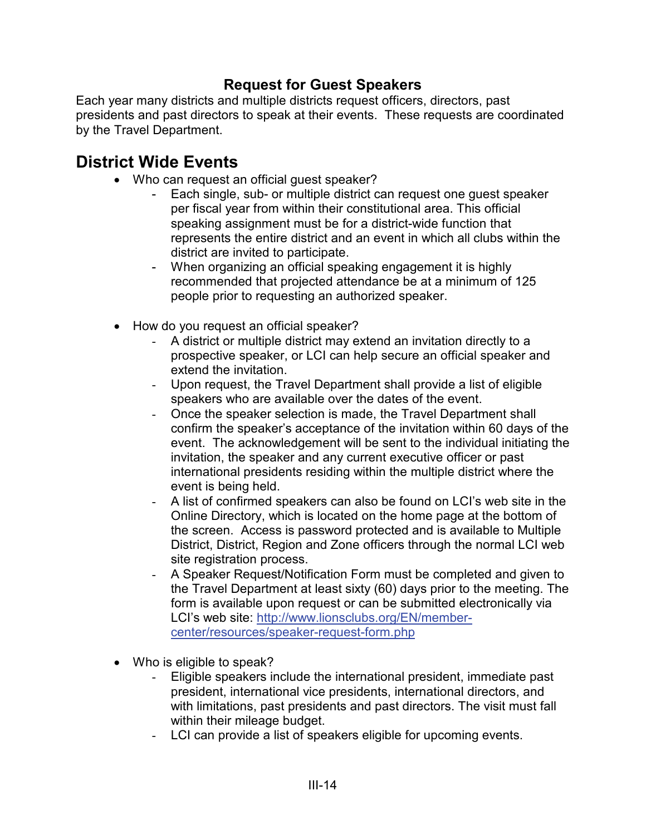#### **Request for Guest Speakers**

Each year many districts and multiple districts request officers, directors, past presidents and past directors to speak at their events. These requests are coordinated by the Travel Department.

## **District Wide Events**

- Who can request an official quest speaker?
	- Each single, sub- or multiple district can request one quest speaker per fiscal year from within their constitutional area. This official speaking assignment must be for a district-wide function that represents the entire district and an event in which all clubs within the district are invited to participate.
	- When organizing an official speaking engagement it is highly recommended that projected attendance be at a minimum of 125 people prior to requesting an authorized speaker.
- How do you request an official speaker?
	- A district or multiple district may extend an invitation directly to a prospective speaker, or LCI can help secure an official speaker and extend the invitation.
	- Upon request, the Travel Department shall provide a list of eligible speakers who are available over the dates of the event.
	- Once the speaker selection is made, the Travel Department shall confirm the speaker's acceptance of the invitation within 60 days of the event. The acknowledgement will be sent to the individual initiating the invitation, the speaker and any current executive officer or past international presidents residing within the multiple district where the event is being held.
	- A list of confirmed speakers can also be found on LCI's web site in the Online Directory, which is located on the home page at the bottom of the screen. Access is password protected and is available to Multiple District, District, Region and Zone officers through the normal LCI web site registration process.
	- A Speaker Request/Notification Form must be completed and given to the Travel Department at least sixty (60) days prior to the meeting. The form is available upon request or can be submitted electronically via LCI's web site: [http://www.lionsclubs.org/EN/member](http://www.lionsclubs.org/EN/member-center/resources/speaker-request-form.php)[center/resources/speaker-request-form.php](http://www.lionsclubs.org/EN/member-center/resources/speaker-request-form.php)
- Who is eligible to speak?
	- Eligible speakers include the international president, immediate past president, international vice presidents, international directors, and with limitations, past presidents and past directors. The visit must fall within their mileage budget.
	- LCI can provide a list of speakers eligible for upcoming events.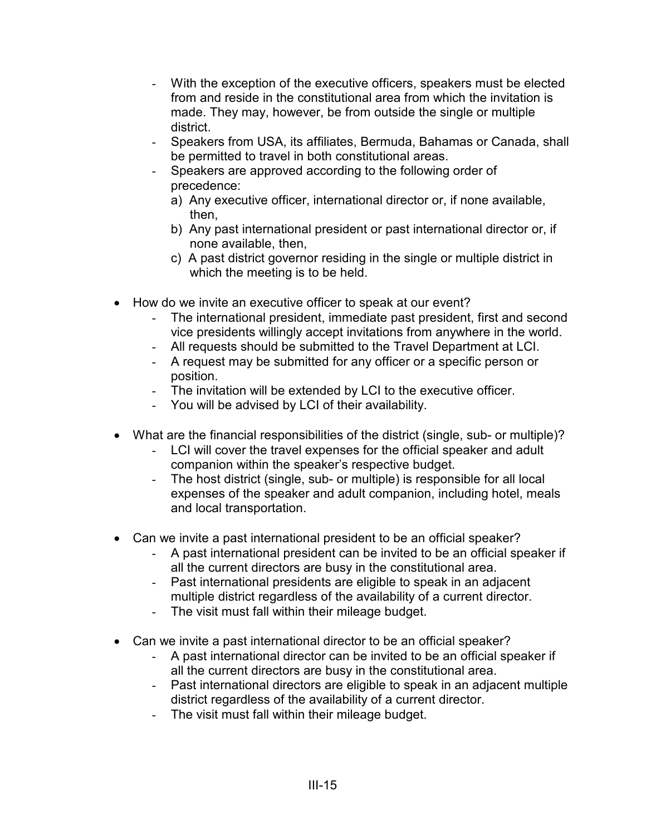- With the exception of the executive officers, speakers must be elected from and reside in the constitutional area from which the invitation is made. They may, however, be from outside the single or multiple district.
- Speakers from USA, its affiliates, Bermuda, Bahamas or Canada, shall be permitted to travel in both constitutional areas.
- Speakers are approved according to the following order of precedence:
	- a) Any executive officer, international director or, if none available, then,
	- b) Any past international president or past international director or, if none available, then,
	- c) A past district governor residing in the single or multiple district in which the meeting is to be held.
- How do we invite an executive officer to speak at our event?
	- The international president, immediate past president, first and second vice presidents willingly accept invitations from anywhere in the world.
	- All requests should be submitted to the Travel Department at LCI.
	- A request may be submitted for any officer or a specific person or position.
	- The invitation will be extended by LCI to the executive officer.
	- You will be advised by LCI of their availability.
- What are the financial responsibilities of the district (single, sub- or multiple)?
	- LCI will cover the travel expenses for the official speaker and adult companion within the speaker's respective budget.
	- The host district (single, sub- or multiple) is responsible for all local expenses of the speaker and adult companion, including hotel, meals and local transportation.
- Can we invite a past international president to be an official speaker?
	- A past international president can be invited to be an official speaker if all the current directors are busy in the constitutional area.
	- Past international presidents are eligible to speak in an adjacent multiple district regardless of the availability of a current director.
	- The visit must fall within their mileage budget.
- Can we invite a past international director to be an official speaker?
	- A past international director can be invited to be an official speaker if all the current directors are busy in the constitutional area.
	- Past international directors are eligible to speak in an adjacent multiple district regardless of the availability of a current director.
	- The visit must fall within their mileage budget.